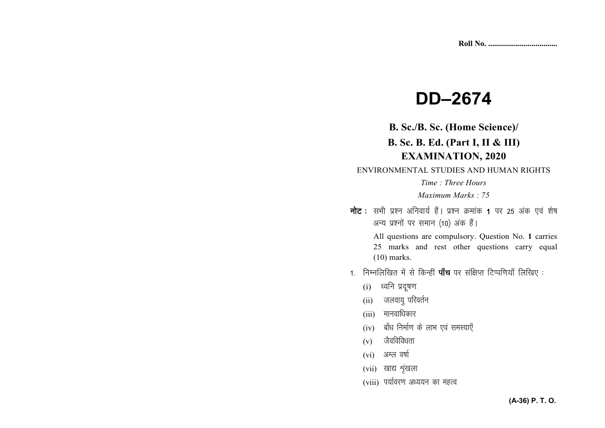# **DD-2674**

B. Sc./B. Sc. (Home Science)/

## B. Sc. B. Ed. (Part I, II & III) **EXAMINATION, 2020**

ENVIRONMENTAL STUDIES AND HUMAN RIGHTS

Time: Three Hours

Maximum Marks : 75

नोट: सभी प्रश्न अनिवार्य हैं। प्रश्न क्रमांक 1 पर 25 अंक एवं शेष अन्य प्रश्नों पर समान (10) अंक हैं।

> All questions are compulsory. Question No. 1 carries 25 marks and rest other questions carry equal  $(10)$  marks.

- 1. निम्नलिखित में से किन्हीं **पाँच** पर संक्षिप्त टिप्पणियाँ लिखिए :
	- (i) ध्वनि प्रदूषण
	- (ii) जलवायु परिवर्तन
	- $(iii)$  मानवाधिकार
	- (iv) बाँध निर्माण के लाभ एवं समस्याएँ
	- $(v)$  जैवविविधता
	- $(vi)$  अम्ल वर्षा
	- $(vii)$  खाद्य शृंखला
	- (viii) पर्यावरण अध्ययन का महत्व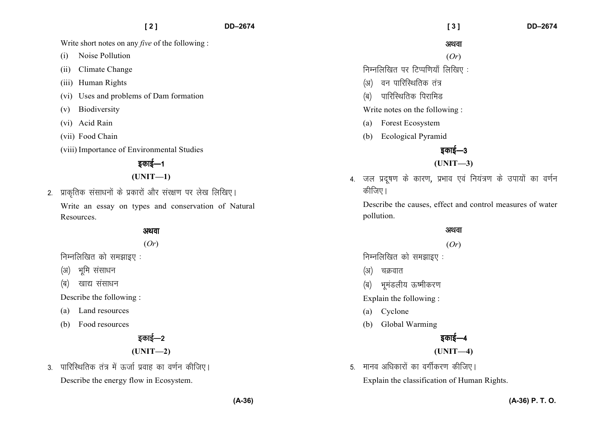Write short notes on any *five* of the following :

- (i) Noise Pollution
- (ii) Climate Change
- (iii) Human Rights
- (vi) Uses and problems of Dam formation
- (v) Biodiversity
- (vi) Acid Rain
- (vii) Food Chain
- (viii) Importance of Environmental Studies

## डकाई—1

#### **(UNIT—1)**

2. प्राकृतिक संसाधनों के प्रकारों और संरक्षण पर लेख लिखिए। Write an essay on types and conservation of NaturalResources.

#### अथवा

(*Or*)

- निम्नलिखित को समझाइए $:$
- (अ) भमि संसाधन
- (ब) खाद्य संसाधन

Describe the following :

- (a) Land resources
- (b) Food resources

## डकाई—2

#### **(UNIT—2)**

3. पारिस्थितिक तंत्र में ऊर्जा प्रवाह का वर्णन कीजिए। Describe the energy flow in Ecosystem.

#### अथवा

#### (*Or*)

- निम्नलिखित पर टिप्पणियाँ लिखिए:
- (अ) वन पारिस्थितिक तंत्र
- (ब) पारिस्थितिक पिरामिड

#### Write notes on the following :

- (a) Forest Ecosystem
- (b) Ecological Pyramid

## डकाई—3

### **(UNIT—3)**

4. जल प्रदुषण के कारण, प्रभाव एवं नियंत्रण के उपायों का वर्णन कीजिए।

Describe the causes, effect and control measures of water pollution.

#### अथवा

#### (*Or*)

निम्नलिखित को समझाइए $:$ 

- (अ) चक्रवात
- (ब) भमंडलीय ऊष्मीकरण

Explain the following :

- (a) Cyclone
- (b) Global Warming



**(UNIT—4)** 

5. मानव अधिकारों का वर्गीकरण कीजिए।

Explain the classification of Human Rights.